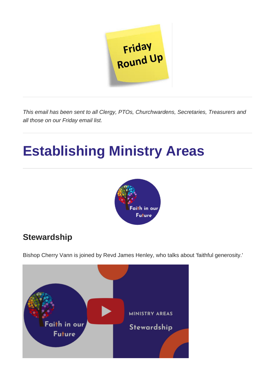

*This email has been sent to all Clergy, PTOs, Churchwardens, Secretaries, Treasurers and all those on our Friday email list.*

# **Establishing Ministry Areas**



## **Stewardship**

Bishop Cherry Vann is joined by Revd James Henley, who talks about 'faithful generosity.'

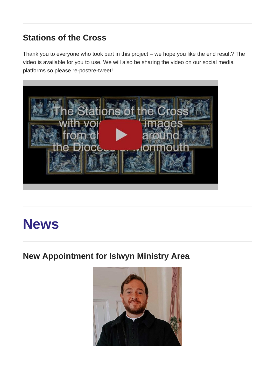## **Stations of the Cross**

Thank you to everyone who took part in this project – we hope you like the end result? The video is available for you to use. We will also be sharing the video on our social media platforms so please re-post/re-tweet!



# **News**

## **New Appointment for Islwyn Ministry Area**

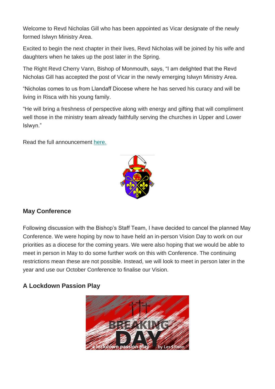Welcome to Revd Nicholas Gill who has been appointed as Vicar designate of the newly formed Islwyn Ministry Area.

Excited to begin the next chapter in their lives, Revd Nicholas will be joined by his wife and daughters when he takes up the post later in the Spring.

The Right Revd Cherry Vann, Bishop of Monmouth, says, "I am delighted that the Revd Nicholas Gill has accepted the post of Vicar in the newly emerging Islwyn Ministry Area.

"Nicholas comes to us from Llandaff Diocese where he has served his curacy and will be living in Risca with his young family.

"He will bring a freshness of perspective along with energy and gifting that will compliment well those in the ministry team already faithfully serving the churches in Upper and Lower Islwyn."

Read the full announcement [here.](https://monmouth.churchinwales.org.uk/en/news-and-events/new-appointment-islwyn-ministry-area/)



#### **May Conference**

Following discussion with the Bishop's Staff Team, I have decided to cancel the planned May Conference. We were hoping by now to have held an in-person Vision Day to work on our priorities as a diocese for the coming years. We were also hoping that we would be able to meet in person in May to do some further work on this with Conference. The continuing restrictions mean these are not possible. Instead, we will look to meet in person later in the year and use our October Conference to finalise our Vision.

#### **A Lockdown Passion Play**

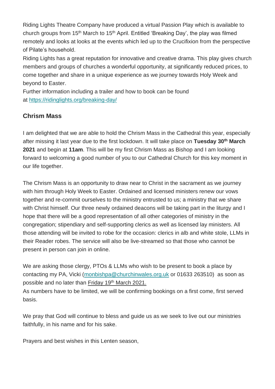Riding Lights Theatre Company have produced a virtual Passion Play which is available to church groups from 15<sup>th</sup> March to 15<sup>th</sup> April. Entitled 'Breaking Day', the play was filmed remotely and looks at looks at the events which led up to the Crucifixion from the perspective of Pilate's household.

Riding Lights has a great reputation for innovative and creative drama. This play gives church members and groups of churches a wonderful opportunity, at significantly reduced prices, to come together and share in a unique experience as we journey towards Holy Week and beyond to Easter.

Further information including a trailer and how to book can be found at <https://ridinglights.org/breaking-day/>

#### **Chrism Mass**

I am delighted that we are able to hold the Chrism Mass in the Cathedral this year, especially after missing it last year due to the first lockdown. It will take place on **Tuesday 30th March 2021** and begin at **11am**. This will be my first Chrism Mass as Bishop and I am looking forward to welcoming a good number of you to our Cathedral Church for this key moment in our life together.

The Chrism Mass is an opportunity to draw near to Christ in the sacrament as we journey with him through Holy Week to Easter. Ordained and licensed ministers renew our vows together and re-commit ourselves to the ministry entrusted to us; a ministry that we share with Christ himself. Our three newly ordained deacons will be taking part in the liturgy and I hope that there will be a good representation of all other categories of ministry in the congregation; stipendiary and self-supporting clerics as well as licensed lay ministers. All those attending will be invited to robe for the occasion: clerics in alb and white stole, LLMs in their Reader robes. The service will also be live-streamed so that those who cannot be present in person can join in online.

We are asking those clergy, PTOs & LLMs who wish to be present to book a place by contacting my PA, Vicki [\(monbishpa@churchinwales.org.uk](mailto:monbishpa@churchinwales.org.uk) or 01633 263510) as soon as possible and no later than Friday 19<sup>th</sup> March 2021.

As numbers have to be limited, we will be confirming bookings on a first come, first served basis.

We pray that God will continue to bless and guide us as we seek to live out our ministries faithfully, in his name and for his sake.

Prayers and best wishes in this Lenten season,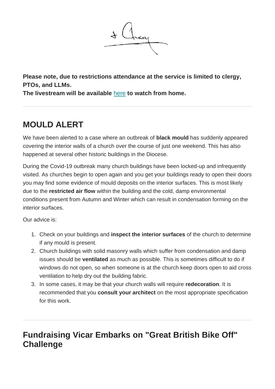

**Please note, due to restrictions attendance at the service is limited to clergy, PTOs, and LLMs.**

**The livestream will be available** [here](https://www.youtube.com/watch?v=n96xzHLtshk) **to watch from home.**

## **MOULD ALERT**

We have been alerted to a case where an outbreak of **black mould** has suddenly appeared covering the interior walls of a church over the course of just one weekend. This has also happened at several other historic buildings in the Diocese.

During the Covid-19 outbreak many church buildings have been locked-up and infrequently visited. As churches begin to open again and you get your buildings ready to open their doors you may find some evidence of mould deposits on the interior surfaces. This is most likely due to the **restricted air flow** within the building and the cold, damp environmental conditions present from Autumn and Winter which can result in condensation forming on the interior surfaces.

Our advice is:

- 1. Check on your buildings and **inspect the interior surfaces** of the church to determine if any mould is present.
- 2. Church buildings with solid masonry walls which suffer from condensation and damp issues should be **ventilated** as much as possible. This is sometimes difficult to do if windows do not open, so when someone is at the church keep doors open to aid cross ventilation to help dry out the building fabric.
- 3. In some cases, it may be that your church walls will require **redecoration**. It is recommended that you **consult your architect** on the most appropriate specification for this work.

### **Fundraising Vicar Embarks on "Great British Bike Off" Challenge**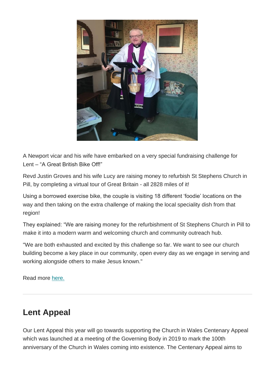

A Newport vicar and his wife have embarked on a very special fundraising challenge for Lent – "A Great British Bike Off!"

Revd Justin Groves and his wife Lucy are raising money to refurbish St Stephens Church in Pill, by completing a virtual tour of Great Britain - all 2828 miles of it!

Using a borrowed exercise bike, the couple is visiting 18 different 'foodie' locations on the way and then taking on the extra challenge of making the local speciality dish from that region!

They explained: "We are raising money for the refurbishment of St Stephens Church in Pill to make it into a modern warm and welcoming church and community outreach hub.

"We are both exhausted and excited by this challenge so far. We want to see our church building become a key place in our community, open every day as we engage in serving and working alongside others to make Jesus known."

Read more [here.](https://monmouth.churchinwales.org.uk/en/news-and-events/fund-raising-vicar-embarks-great-british-bike-challenge/)

### **Lent Appeal**

Our Lent Appeal this year will go towards supporting the Church in Wales Centenary Appeal which was launched at a meeting of the Governing Body in 2019 to mark the 100th anniversary of the Church in Wales coming into existence. The Centenary Appeal aims to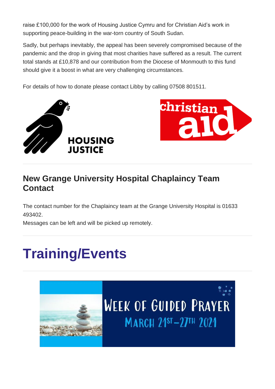raise £100,000 for the work of Housing Justice Cymru and for Christian Aid's work in supporting peace-building in the war-torn country of South Sudan.

Sadly, but perhaps inevitably, the appeal has been severely compromised because of the pandemic and the drop in giving that most charities have suffered as a result. The current total stands at £10,878 and our contribution from the Diocese of Monmouth to this fund should give it a boost in what are very challenging circumstances.

For details of how to donate please contact Libby by calling 07508 801511.





### **New Grange University Hospital Chaplaincy Team Contact**

The contact number for the Chaplaincy team at the Grange University Hospital is 01633 493402.

Messages can be left and will be picked up remotely.

# **Training/Events**

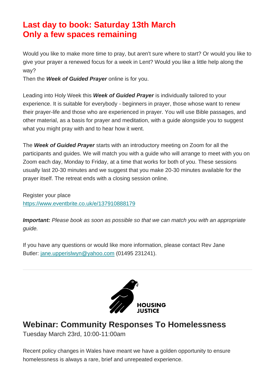### **Last day to book: Saturday 13th March Only a few spaces remaining**

Would you like to make more time to pray, but aren't sure where to start? Or would you like to give your prayer a renewed focus for a week in Lent? Would you like a little help along the way?

Then the *Week of Guided Prayer* online is for you.

Leading into Holy Week this *Week of Guided Prayer* is individually tailored to your experience. It is suitable for everybody - beginners in prayer, those whose want to renew their prayer-life and those who are experienced in prayer. You will use Bible passages, and other material, as a basis for prayer and meditation, with a guide alongside you to suggest what you might pray with and to hear how it went.

The *Week of Guided Prayer* starts with an introductory meeting on Zoom for all the participants and guides. We will match you with a guide who will arrange to meet with you on Zoom each day, Monday to Friday, at a time that works for both of you. These sessions usually last 20-30 minutes and we suggest that you make 20-30 minutes available for the prayer itself. The retreat ends with a closing session online.

Register your place <https://www.eventbrite.co.uk/e/137910888179>

*Important: Please book as soon as possible so that we can match you with an appropriate guide.*

If you have any questions or would like more information, please contact Rev Jane Butler: [jane.upperislwyn@yahoo.com](mailto:jane.upperislwyn@yahoo.com) (01495 231241).



### **Webinar: Community Responses To Homelessness**

Tuesday March 23rd, 10:00-11:00am

Recent policy changes in Wales have meant we have a golden opportunity to ensure homelessness is always a rare, brief and unrepeated experience.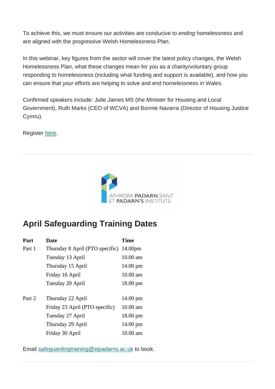To achieve this, we must ensure our activities are conducive to *ending* homelessness and are aligned with the progressive Welsh Homelessness Plan.

In this webinar, key figures from the sector will cover the latest policy changes, the Welsh Homelessness Plan, what these changes mean for you as a charity/voluntary group responding to homelessness (including what funding and support is available), and how you can ensure that your efforts are helping to solve and end homelessness in Wales.

Confirmed speakers include: Julie James MS (the Minister for Housing and Local Government), Ruth Marks (CEO of WCVA) and Bonnie Navarra (Director of Housing Justice Cymru).

Register [here.](https://us02web.zoom.us/webinar/register/WN_Twvi8L3OT9Wc3Pv84OX95Q)



## **April Safeguarding Training Dates**

| Part   | <b>Date</b>                             | <b>Time</b>        |
|--------|-----------------------------------------|--------------------|
| Part 1 | Thursday 8 April (PTO specific) 14.00pm |                    |
|        | Tuesday 13 April                        | $10.00$ am         |
|        | Thursday 15 April                       | $14.00 \text{ pm}$ |
|        | Friday 16 April                         | $10.00$ am         |
|        | Tuesday 20 April                        | 18.00 pm           |
| Part 2 | Thursday 22 April                       | 14.00 pm           |
|        | Friday 23 April (PTO specific)          | $10.00$ am         |
|        | Tuesday 27 April                        | 18.00 pm           |
|        | Thursday 29 April                       | 14.00 pm           |
|        | Friday 30 April                         | $10.00$ am         |

Email [safeguardingtraining@stpadarns.ac.uk](mailto:safeguardingtraining@stpadarns.ac.uk) to book.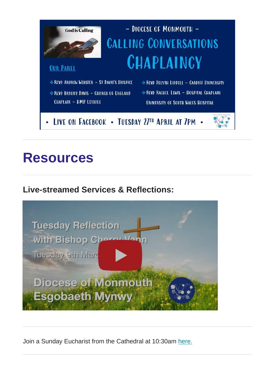

# **Resources**

### **Live-streamed Services & Reflections:**



Join a Sunday Eucharist from the Cathedral at 10:30am [here.](https://www.youtube.com/watch?v=uRHzKxutq-Q)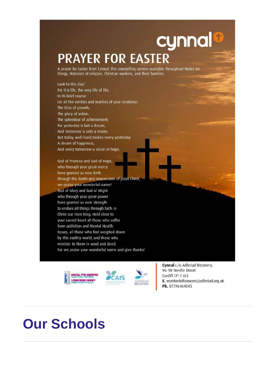# cynnal **PRAYER FOR EASTER**

A prayer for Easter from Cynnal, the counselling service available throughout Wales for Clergy, Ministers of religion, Christian workers, and their families.

Look to this day! For it is life, the very life of life. In its brief course Lie all the verities and realities of your existence: The bliss of growth; The glory of action: The splendour of achievement; For yesterday is but a dream, And tomorrow is only a vision; But today, well-lived makes every yesterday A dream of happiness, And every tomorrow a vision of hope.

God of Promise and God of Hope, who through your great mercy have granted us new birth through the death and resurrection of Jesus Christ, we praise your wonderful name! God of Glory and God of Might who through your great power have granted us new strength to endure all things through faith in Christ our risen King. Hold close to your sacred heart all those who suffer from addiction and Mental Health Issues, all those who feel weighed down by this earthly world, and those who minister to them in word and deed. For we praise your wonderful name and give thanks!





Cynnal c/o Adferiad Recovery, 96-98 Neville Street Cardiff CF11 6LS E. wynfordellisowen@adferiad.org.uk Ph. 07796464045

# **Our Schools**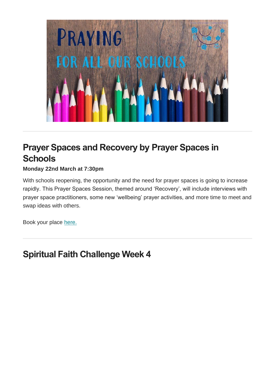

# **Prayer Spaces and Recovery by Prayer Spaces in Schools**

#### **Monday 22nd March at 7:30pm**

With schools reopening, the opportunity and the need for prayer spaces is going to increase rapidly. This Prayer Spaces Session, themed around 'Recovery', will include interviews with prayer space practitioners, some new 'wellbeing' prayer activities, and more time to meet and swap ideas with others.

Book your place [here.](https://www.eventbrite.co.uk/e/the-prayer-spaces-sessions-prayer-spaces-and-recovery-tickets-144485731713)

## **Spiritual Faith Challenge Week 4**